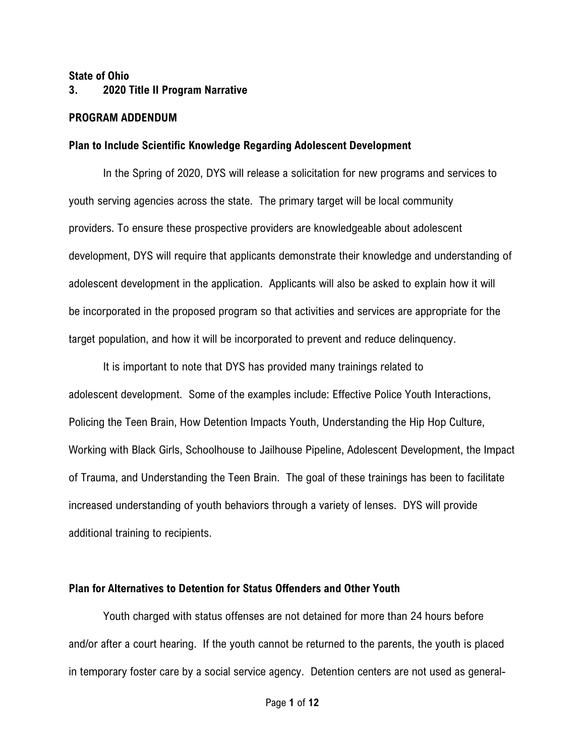#### State of Ohio

## 3. 2020 Title II Program Narrative

### PROGRAM ADDENDUM

#### Plan to Include Scientific Knowledge Regarding Adolescent Development

In the Spring of 2020, DYS will release a solicitation for new programs and services to youth serving agencies across the state. The primary target will be local community providers. To ensure these prospective providers are knowledgeable about adolescent development, DYS will require that applicants demonstrate their knowledge and understanding of adolescent development in the application. Applicants will also be asked to explain how it will be incorporated in the proposed program so that activities and services are appropriate for the target population, and how it will be incorporated to prevent and reduce delinquency.

It is important to note that DYS has provided many trainings related to adolescent development. Some of the examples include: Effective Police Youth Interactions, Policing the Teen Brain, How Detention Impacts Youth, Understanding the Hip Hop Culture, Working with Black Girls, Schoolhouse to Jailhouse Pipeline, Adolescent Development, the Impact of Trauma, and Understanding the Teen Brain. The goal of these trainings has been to facilitate increased understanding of youth behaviors through a variety of lenses. DYS will provide additional training to recipients.

### Plan for Alternatives to Detention for Status Offenders and Other Youth

Youth charged with status offenses are not detained for more than 24 hours before and/or after a court hearing. If the youth cannot be returned to the parents, the youth is placed in temporary foster care by a social service agency. Detention centers are not used as general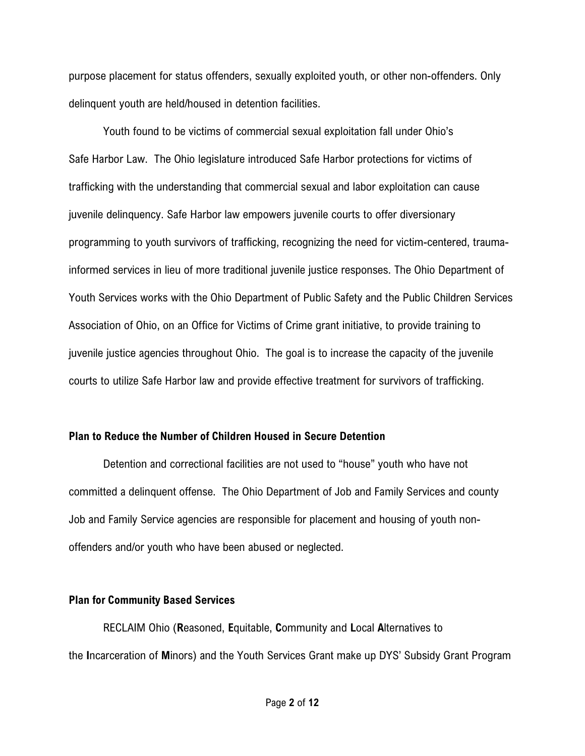purpose placement for status offenders, sexually exploited youth, or other non-offenders. Only delinquent youth are held/housed in detention facilities.

Youth found to be victims of commercial sexual exploitation fall under Ohio's Safe Harbor Law. The Ohio legislature introduced Safe Harbor protections for victims of trafficking with the understanding that commercial sexual and labor exploitation can cause juvenile delinquency. Safe Harbor law empowers juvenile courts to offer diversionary programming to youth survivors of trafficking, recognizing the need for victim-centered, traumainformed services in lieu of more traditional juvenile justice responses. The Ohio Department of Youth Services works with the Ohio Department of Public Safety and the Public Children Services Association of Ohio, on an Office for Victims of Crime grant initiative, to provide training to juvenile justice agencies throughout Ohio. The goal is to increase the capacity of the juvenile courts to utilize Safe Harbor law and provide effective treatment for survivors of trafficking.

## Plan to Reduce the Number of Children Housed in Secure Detention

Detention and correctional facilities are not used to "house" youth who have not committed a delinquent offense. The Ohio Department of Job and Family Services and county Job and Family Service agencies are responsible for placement and housing of youth nonoffenders and/or youth who have been abused or neglected.

#### Plan for Community Based Services

RECLAIM Ohio (Reasoned, Equitable, Community and Local Alternatives to the Incarceration of Minors) and the Youth Services Grant make up DYS' Subsidy Grant Program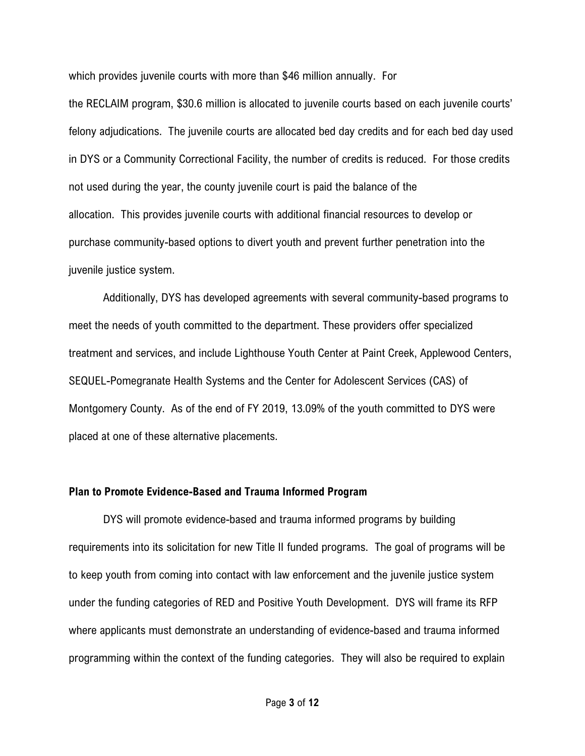which provides juvenile courts with more than \$46 million annually. For

the RECLAIM program, \$30.6 million is allocated to juvenile courts based on each juvenile courts' felony adjudications. The juvenile courts are allocated bed day credits and for each bed day used in DYS or a Community Correctional Facility, the number of credits is reduced. For those credits not used during the year, the county juvenile court is paid the balance of the allocation. This provides juvenile courts with additional financial resources to develop or purchase community-based options to divert youth and prevent further penetration into the juvenile justice system.

 Additionally, DYS has developed agreements with several community-based programs to meet the needs of youth committed to the department. These providers offer specialized treatment and services, and include Lighthouse Youth Center at Paint Creek, Applewood Centers, SEQUEL-Pomegranate Health Systems and the Center for Adolescent Services (CAS) of Montgomery County. As of the end of FY 2019, 13.09% of the youth committed to DYS were placed at one of these alternative placements.

#### Plan to Promote Evidence-Based and Trauma Informed Program

DYS will promote evidence-based and trauma informed programs by building requirements into its solicitation for new Title II funded programs. The goal of programs will be to keep youth from coming into contact with law enforcement and the juvenile justice system under the funding categories of RED and Positive Youth Development. DYS will frame its RFP where applicants must demonstrate an understanding of evidence-based and trauma informed programming within the context of the funding categories. They will also be required to explain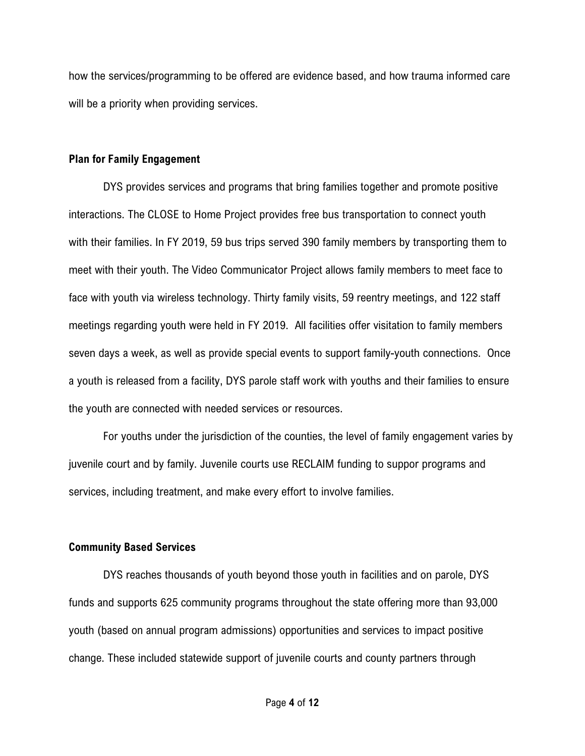how the services/programming to be offered are evidence based, and how trauma informed care will be a priority when providing services.

### Plan for Family Engagement

DYS provides services and programs that bring families together and promote positive interactions. The CLOSE to Home Project provides free bus transportation to connect youth with their families. In FY 2019, 59 bus trips served 390 family members by transporting them to meet with their youth. The Video Communicator Project allows family members to meet face to face with youth via wireless technology. Thirty family visits, 59 reentry meetings, and 122 staff meetings regarding youth were held in FY 2019. All facilities offer visitation to family members seven days a week, as well as provide special events to support family-youth connections. Once a youth is released from a facility, DYS parole staff work with youths and their families to ensure the youth are connected with needed services or resources.

 For youths under the jurisdiction of the counties, the level of family engagement varies by juvenile court and by family. Juvenile courts use RECLAIM funding to suppor programs and services, including treatment, and make every effort to involve families.

## Community Based Services

DYS reaches thousands of youth beyond those youth in facilities and on parole, DYS funds and supports 625 community programs throughout the state offering more than 93,000 youth (based on annual program admissions) opportunities and services to impact positive change. These included statewide support of juvenile courts and county partners through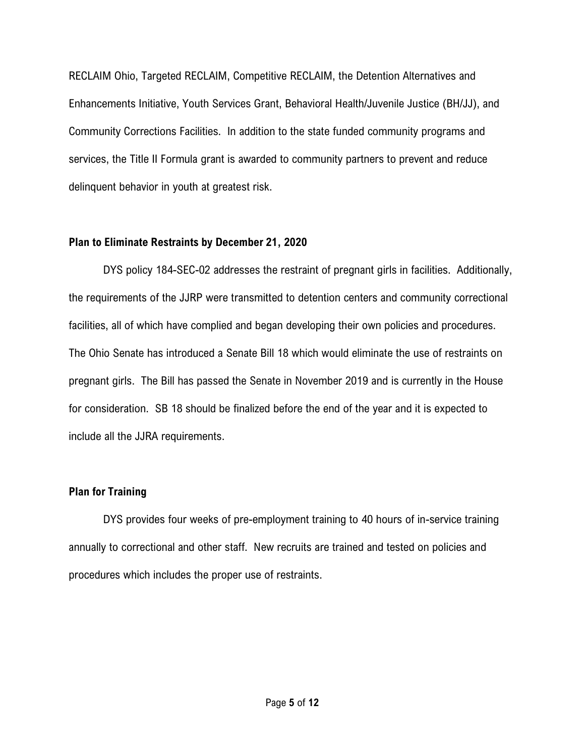RECLAIM Ohio, Targeted RECLAIM, Competitive RECLAIM, the Detention Alternatives and Enhancements Initiative, Youth Services Grant, Behavioral Health/Juvenile Justice (BH/JJ), and Community Corrections Facilities. In addition to the state funded community programs and services, the Title II Formula grant is awarded to community partners to prevent and reduce delinquent behavior in youth at greatest risk.

## Plan to Eliminate Restraints by December 21, 2020

DYS policy 184-SEC-02 addresses the restraint of pregnant girls in facilities. Additionally, the requirements of the JJRP were transmitted to detention centers and community correctional facilities, all of which have complied and began developing their own policies and procedures. The Ohio Senate has introduced a Senate Bill 18 which would eliminate the use of restraints on pregnant girls. The Bill has passed the Senate in November 2019 and is currently in the House for consideration. SB 18 should be finalized before the end of the year and it is expected to include all the JJRA requirements.

## Plan for Training

DYS provides four weeks of pre-employment training to 40 hours of in-service training annually to correctional and other staff. New recruits are trained and tested on policies and procedures which includes the proper use of restraints.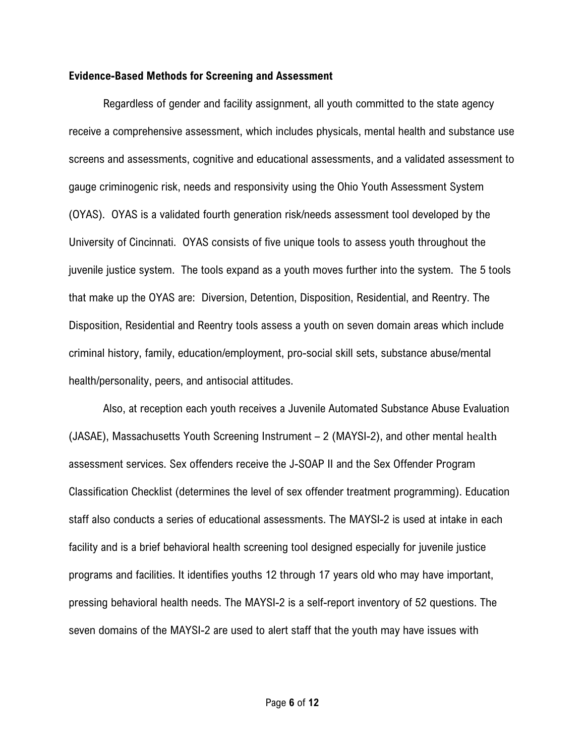#### Evidence-Based Methods for Screening and Assessment

Regardless of gender and facility assignment, all youth committed to the state agency receive a comprehensive assessment, which includes physicals, mental health and substance use screens and assessments, cognitive and educational assessments, and a validated assessment to gauge criminogenic risk, needs and responsivity using the Ohio Youth Assessment System (OYAS). OYAS is a validated fourth generation risk/needs assessment tool developed by the University of Cincinnati. OYAS consists of five unique tools to assess youth throughout the juvenile justice system. The tools expand as a youth moves further into the system. The 5 tools that make up the OYAS are: Diversion, Detention, Disposition, Residential, and Reentry. The Disposition, Residential and Reentry tools assess a youth on seven domain areas which include criminal history, family, education/employment, pro-social skill sets, substance abuse/mental health/personality, peers, and antisocial attitudes.

 Also, at reception each youth receives a Juvenile Automated Substance Abuse Evaluation (JASAE), Massachusetts Youth Screening Instrument – 2 (MAYSI-2), and other mental health assessment services. Sex offenders receive the J-SOAP II and the Sex Offender Program Classification Checklist (determines the level of sex offender treatment programming). Education staff also conducts a series of educational assessments. The MAYSI-2 is used at intake in each facility and is a brief behavioral health screening tool designed especially for juvenile justice programs and facilities. It identifies youths 12 through 17 years old who may have important, pressing behavioral health needs. The MAYSI-2 is a self-report inventory of 52 questions. The seven domains of the MAYSI-2 are used to alert staff that the youth may have issues with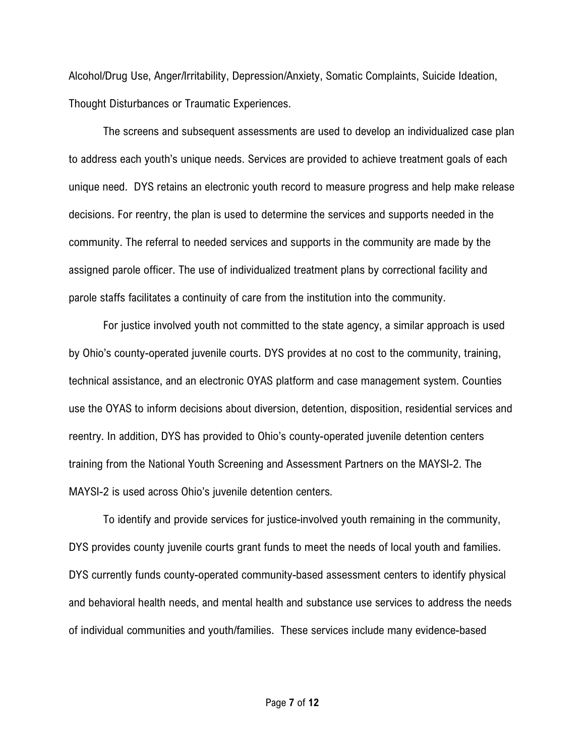Alcohol/Drug Use, Anger/Irritability, Depression/Anxiety, Somatic Complaints, Suicide Ideation, Thought Disturbances or Traumatic Experiences.

 The screens and subsequent assessments are used to develop an individualized case plan to address each youth's unique needs. Services are provided to achieve treatment goals of each unique need. DYS retains an electronic youth record to measure progress and help make release decisions. For reentry, the plan is used to determine the services and supports needed in the community. The referral to needed services and supports in the community are made by the assigned parole officer. The use of individualized treatment plans by correctional facility and parole staffs facilitates a continuity of care from the institution into the community.

 For justice involved youth not committed to the state agency, a similar approach is used by Ohio's county-operated juvenile courts. DYS provides at no cost to the community, training, technical assistance, and an electronic OYAS platform and case management system. Counties use the OYAS to inform decisions about diversion, detention, disposition, residential services and reentry. In addition, DYS has provided to Ohio's county-operated juvenile detention centers training from the National Youth Screening and Assessment Partners on the MAYSI-2. The MAYSI-2 is used across Ohio's juvenile detention centers.

To identify and provide services for justice-involved youth remaining in the community, DYS provides county juvenile courts grant funds to meet the needs of local youth and families. DYS currently funds county-operated community-based assessment centers to identify physical and behavioral health needs, and mental health and substance use services to address the needs of individual communities and youth/families. These services include many evidence-based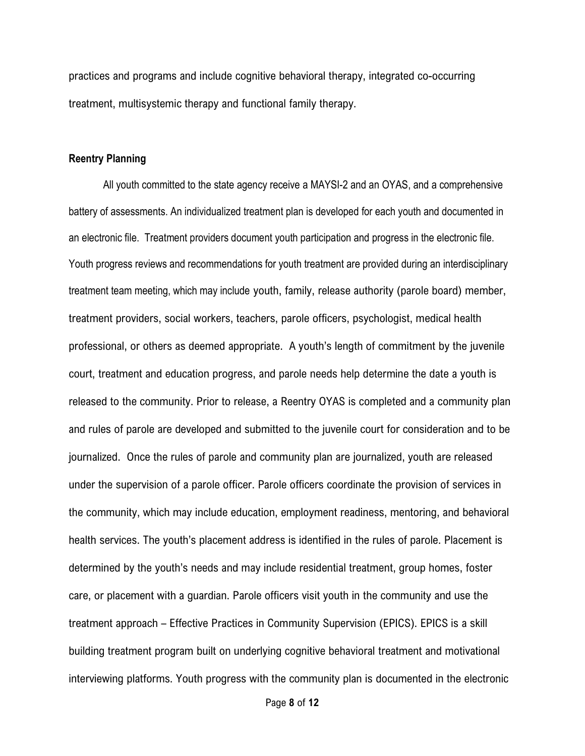practices and programs and include cognitive behavioral therapy, integrated co-occurring treatment, multisystemic therapy and functional family therapy.

## Reentry Planning

All youth committed to the state agency receive a MAYSI-2 and an OYAS, and a comprehensive battery of assessments. An individualized treatment plan is developed for each youth and documented in an electronic file. Treatment providers document youth participation and progress in the electronic file. Youth progress reviews and recommendations for youth treatment are provided during an interdisciplinary treatment team meeting, which may include youth, family, release authority (parole board) member, treatment providers, social workers, teachers, parole officers, psychologist, medical health professional, or others as deemed appropriate. A youth's length of commitment by the juvenile court, treatment and education progress, and parole needs help determine the date a youth is released to the community. Prior to release, a Reentry OYAS is completed and a community plan and rules of parole are developed and submitted to the juvenile court for consideration and to be journalized. Once the rules of parole and community plan are journalized, youth are released under the supervision of a parole officer. Parole officers coordinate the provision of services in the community, which may include education, employment readiness, mentoring, and behavioral health services. The youth's placement address is identified in the rules of parole. Placement is determined by the youth's needs and may include residential treatment, group homes, foster care, or placement with a guardian. Parole officers visit youth in the community and use the treatment approach – Effective Practices in Community Supervision (EPICS). EPICS is a skill building treatment program built on underlying cognitive behavioral treatment and motivational interviewing platforms. Youth progress with the community plan is documented in the electronic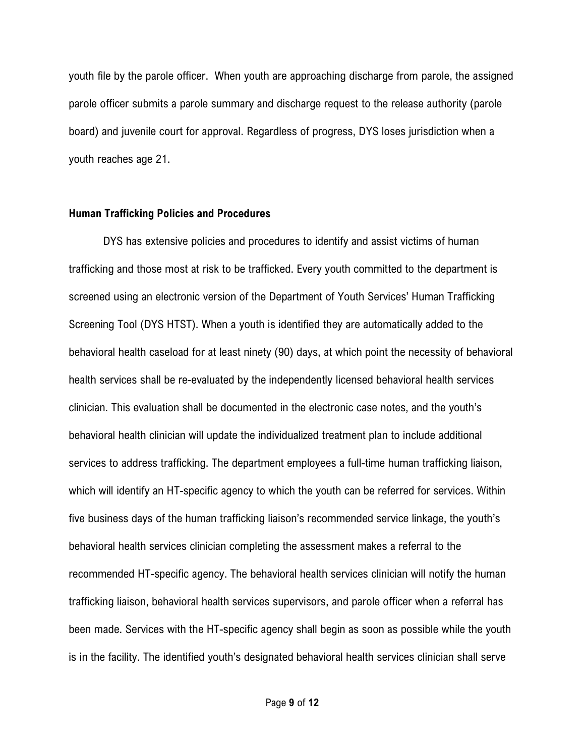youth file by the parole officer. When youth are approaching discharge from parole, the assigned parole officer submits a parole summary and discharge request to the release authority (parole board) and juvenile court for approval. Regardless of progress, DYS loses jurisdiction when a youth reaches age 21.

#### Human Trafficking Policies and Procedures

DYS has extensive policies and procedures to identify and assist victims of human trafficking and those most at risk to be trafficked. Every youth committed to the department is screened using an electronic version of the Department of Youth Services' Human Trafficking Screening Tool (DYS HTST). When a youth is identified they are automatically added to the behavioral health caseload for at least ninety (90) days, at which point the necessity of behavioral health services shall be re-evaluated by the independently licensed behavioral health services clinician. This evaluation shall be documented in the electronic case notes, and the youth's behavioral health clinician will update the individualized treatment plan to include additional services to address trafficking. The department employees a full-time human trafficking liaison, which will identify an HT-specific agency to which the youth can be referred for services. Within five business days of the human trafficking liaison's recommended service linkage, the youth's behavioral health services clinician completing the assessment makes a referral to the recommended HT-specific agency. The behavioral health services clinician will notify the human trafficking liaison, behavioral health services supervisors, and parole officer when a referral has been made. Services with the HT-specific agency shall begin as soon as possible while the youth is in the facility. The identified youth's designated behavioral health services clinician shall serve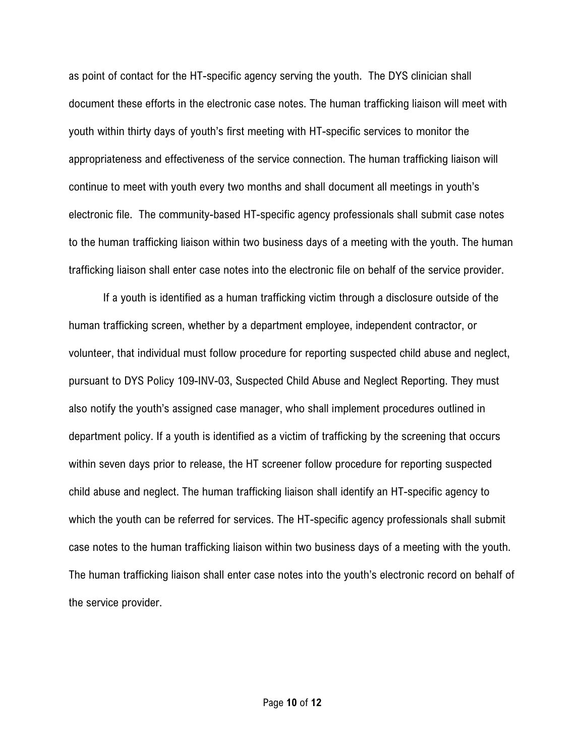as point of contact for the HT-specific agency serving the youth. The DYS clinician shall document these efforts in the electronic case notes. The human trafficking liaison will meet with youth within thirty days of youth's first meeting with HT-specific services to monitor the appropriateness and effectiveness of the service connection. The human trafficking liaison will continue to meet with youth every two months and shall document all meetings in youth's electronic file. The community-based HT-specific agency professionals shall submit case notes to the human trafficking liaison within two business days of a meeting with the youth. The human trafficking liaison shall enter case notes into the electronic file on behalf of the service provider.

 If a youth is identified as a human trafficking victim through a disclosure outside of the human trafficking screen, whether by a department employee, independent contractor, or volunteer, that individual must follow procedure for reporting suspected child abuse and neglect, pursuant to DYS Policy 109-INV-03, Suspected Child Abuse and Neglect Reporting. They must also notify the youth's assigned case manager, who shall implement procedures outlined in department policy. If a youth is identified as a victim of trafficking by the screening that occurs within seven days prior to release, the HT screener follow procedure for reporting suspected child abuse and neglect. The human trafficking liaison shall identify an HT-specific agency to which the youth can be referred for services. The HT-specific agency professionals shall submit case notes to the human trafficking liaison within two business days of a meeting with the youth. The human trafficking liaison shall enter case notes into the youth's electronic record on behalf of the service provider.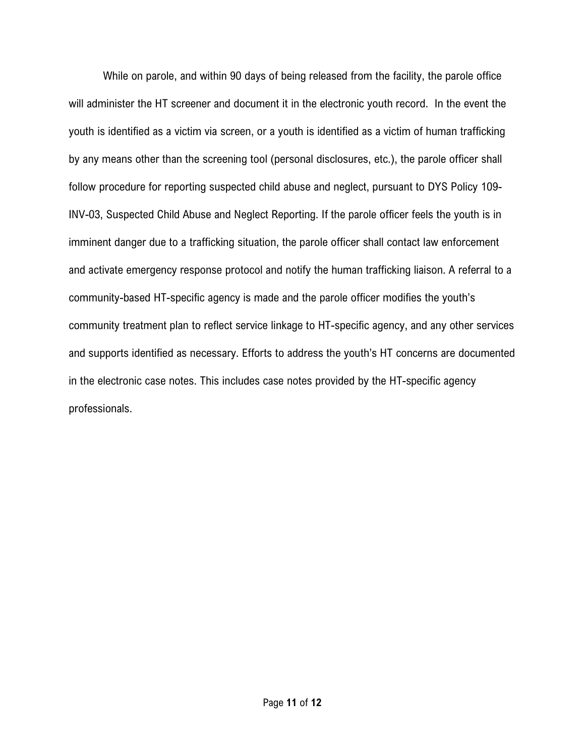While on parole, and within 90 days of being released from the facility, the parole office will administer the HT screener and document it in the electronic youth record. In the event the youth is identified as a victim via screen, or a youth is identified as a victim of human trafficking by any means other than the screening tool (personal disclosures, etc.), the parole officer shall follow procedure for reporting suspected child abuse and neglect, pursuant to DYS Policy 109- INV-03, Suspected Child Abuse and Neglect Reporting. If the parole officer feels the youth is in imminent danger due to a trafficking situation, the parole officer shall contact law enforcement and activate emergency response protocol and notify the human trafficking liaison. A referral to a community-based HT-specific agency is made and the parole officer modifies the youth's community treatment plan to reflect service linkage to HT-specific agency, and any other services and supports identified as necessary. Efforts to address the youth's HT concerns are documented in the electronic case notes. This includes case notes provided by the HT-specific agency professionals.